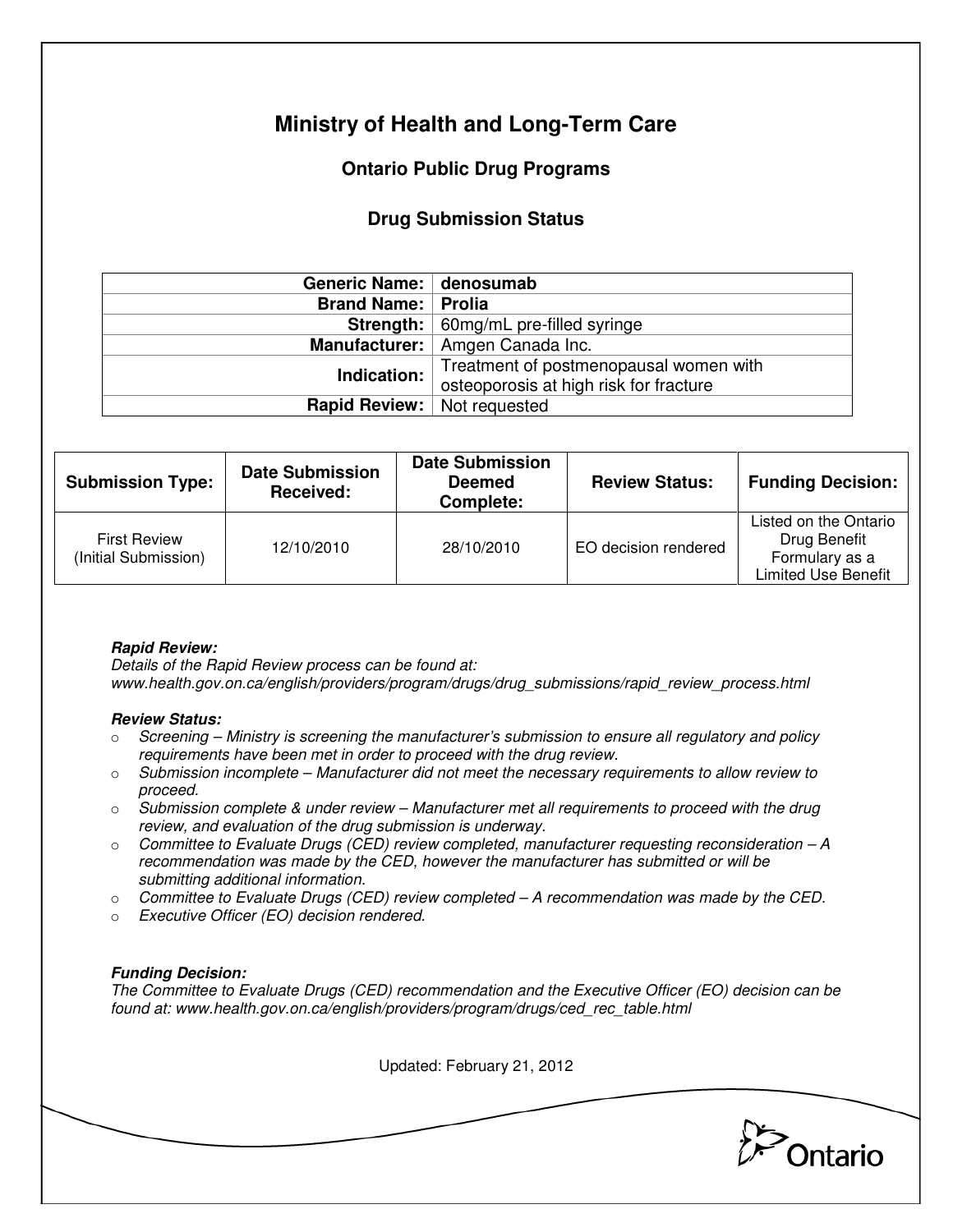# **Ministry of Health and Long-Term Care**

## **Ontario Public Drug Programs**

### **Drug Submission Status**

| Generic Name: denosumab   |                                               |  |  |
|---------------------------|-----------------------------------------------|--|--|
| <b>Brand Name: Prolia</b> |                                               |  |  |
|                           | <b>Strength:</b>   60mg/mL pre-filled syringe |  |  |
|                           | Manufacturer:   Amgen Canada Inc.             |  |  |
| Indication:               | Treatment of postmenopausal women with        |  |  |
|                           | osteoporosis at high risk for fracture        |  |  |
| <b>Rapid Review:</b>      | Not requested                                 |  |  |

| <b>Submission Type:</b>                     | <b>Date Submission</b><br>Received: | <b>Date Submission</b><br><b>Deemed</b><br>Complete: | <b>Review Status:</b> | <b>Funding Decision:</b>                                                              |
|---------------------------------------------|-------------------------------------|------------------------------------------------------|-----------------------|---------------------------------------------------------------------------------------|
| <b>First Review</b><br>(Initial Submission) | 12/10/2010                          | 28/10/2010                                           | EO decision rendered  | Listed on the Ontario<br>Drug Benefit<br>Formulary as a<br><b>Limited Use Benefit</b> |

### **Rapid Review:**

Details of the Rapid Review process can be found at: www.health.gov.on.ca/english/providers/program/drugs/drug\_submissions/rapid\_review\_process.html

#### **Review Status:**

- $\circ$  Screening Ministry is screening the manufacturer's submission to ensure all regulatory and policy requirements have been met in order to proceed with the drug review.
- $\circ$  Submission incomplete Manufacturer did not meet the necessary requirements to allow review to proceed.
- $\circ$  Submission complete & under review Manufacturer met all requirements to proceed with the drug review, and evaluation of the drug submission is underway.
- $\circ$  Committee to Evaluate Drugs (CED) review completed, manufacturer requesting reconsideration  $-A$ recommendation was made by the CED, however the manufacturer has submitted or will be submitting additional information.
- $\circ$  Committee to Evaluate Drugs (CED) review completed A recommendation was made by the CED.
- o Executive Officer (EO) decision rendered.

### **Funding Decision:**

The Committee to Evaluate Drugs (CED) recommendation and the Executive Officer (EO) decision can be found at: www.health.gov.on.ca/english/providers/program/drugs/ced\_rec\_table.html

Updated: February 21, 2012